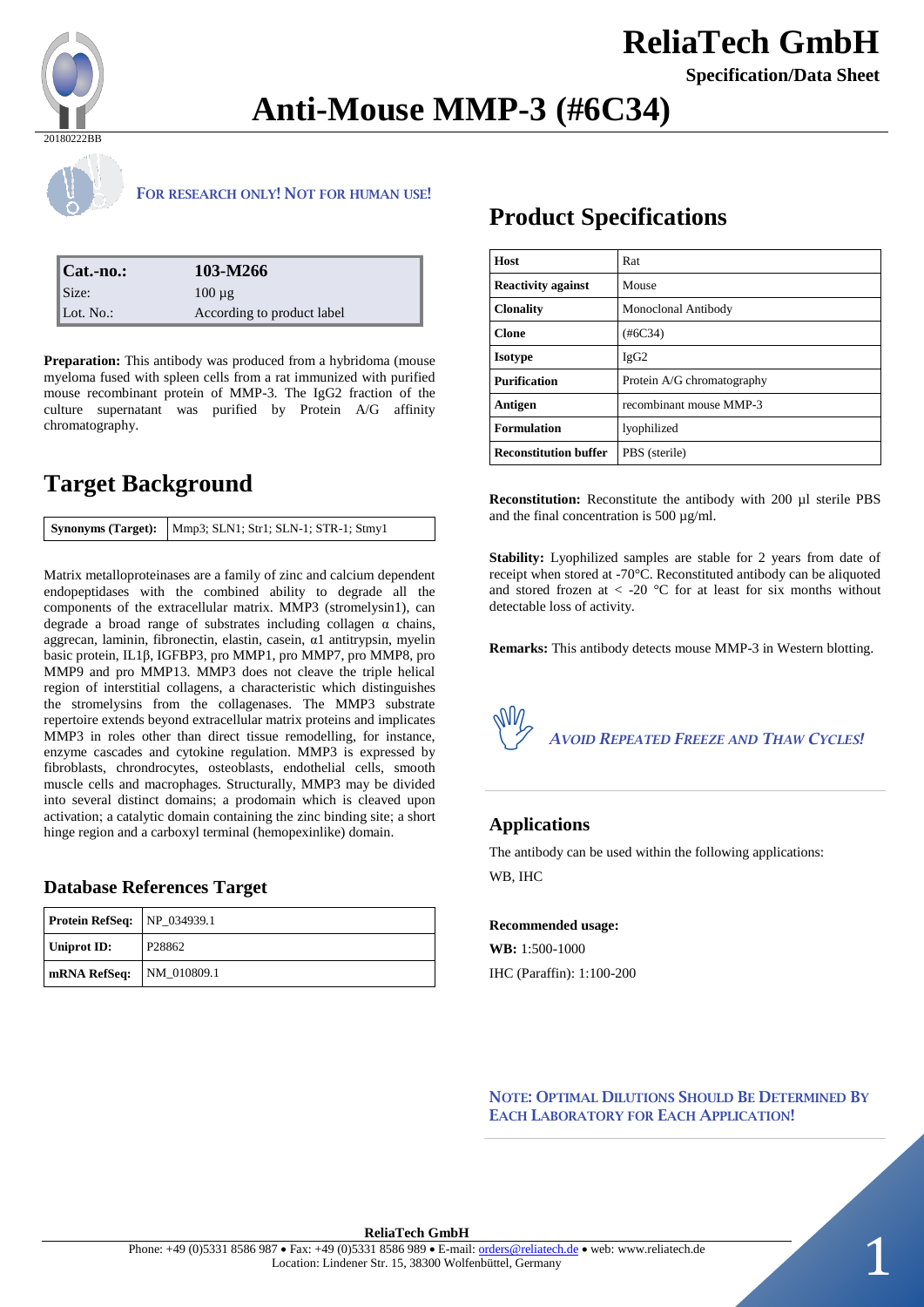

# **ReliaTech GmbH**

**Specification/Data Sheet**

# **Anti-Mouse MMP-3 (#6C34)**



### **FOR RESEARCH ONLY! NOT FOR HUMAN USE!**

| $ Cat$ -no.: | 103-M266                   |
|--------------|----------------------------|
| $\sum$ Size: | $100 \mu$ g                |
| Lot. No.:    | According to product label |

**Preparation:** This antibody was produced from a hybridoma (mouse myeloma fused with spleen cells from a rat immunized with purified mouse recombinant protein of MMP-3. The IgG2 fraction of the culture supernatant was purified by Protein A/G affinity chromatography.

## **Target Background**

Matrix metalloproteinases are a family of zinc and calcium dependent endopeptidases with the combined ability to degrade all the components of the extracellular matrix. MMP3 (stromelysin1), can degrade a broad range of substrates including collagen  $\alpha$  chains, aggrecan, laminin, fibronectin, elastin, casein, α1 antitrypsin, myelin basic protein, IL1β, IGFBP3, pro MMP1, pro MMP7, pro MMP8, pro MMP9 and pro MMP13. MMP3 does not cleave the triple helical region of interstitial collagens, a characteristic which distinguishes the stromelysins from the collagenases. The MMP3 substrate repertoire extends beyond extracellular matrix proteins and implicates MMP3 in roles other than direct tissue remodelling, for instance, enzyme cascades and cytokine regulation. MMP3 is expressed by fibroblasts, chrondrocytes, osteoblasts, endothelial cells, smooth muscle cells and macrophages. Structurally, MMP3 may be divided into several distinct domains; a prodomain which is cleaved upon activation; a catalytic domain containing the zinc binding site; a short hinge region and a carboxyl terminal (hemopexinlike) domain.

### **Database References Target**

| <b>Protein RefSeq:</b> NP_034939.1 |                    |
|------------------------------------|--------------------|
| Uniprot ID:                        | P <sub>28862</sub> |
| mRNA RefSeq: NM_010809.1           |                    |

## **Product Specifications**

| Host                         | Rat                        |  |
|------------------------------|----------------------------|--|
| <b>Reactivity against</b>    | Mouse                      |  |
| <b>Clonality</b>             | Monoclonal Antibody        |  |
| <b>Clone</b>                 | (#6C34)                    |  |
| <b>Isotype</b>               | IgG2                       |  |
| <b>Purification</b>          | Protein A/G chromatography |  |
| Antigen                      | recombinant mouse MMP-3    |  |
| <b>Formulation</b>           | lyophilized                |  |
| <b>Reconstitution buffer</b> | PBS (sterile)              |  |

**Reconstitution:** Reconstitute the antibody with 200 µl sterile PBS and the final concentration is 500 µg/ml.

**Stability:** Lyophilized samples are stable for 2 years from date of receipt when stored at -70°C. Reconstituted antibody can be aliquoted and stored frozen at  $\langle$  -20 °C for at least for six months without detectable loss of activity.

**Remarks:** This antibody detects mouse MMP-3 in Western blotting.



### **Applications**

The antibody can be used within the following applications: WB, IHC

#### **Recommended usage:**

**WB:** 1:500-1000 IHC (Paraffin): 1:100-200

**NOTE: OPTIMAL DILUTIONS SHOULD BE DETERMINED BY EACH LABORATORY FOR EACH APPLICATION!**

#### **ReliaTech GmbH**